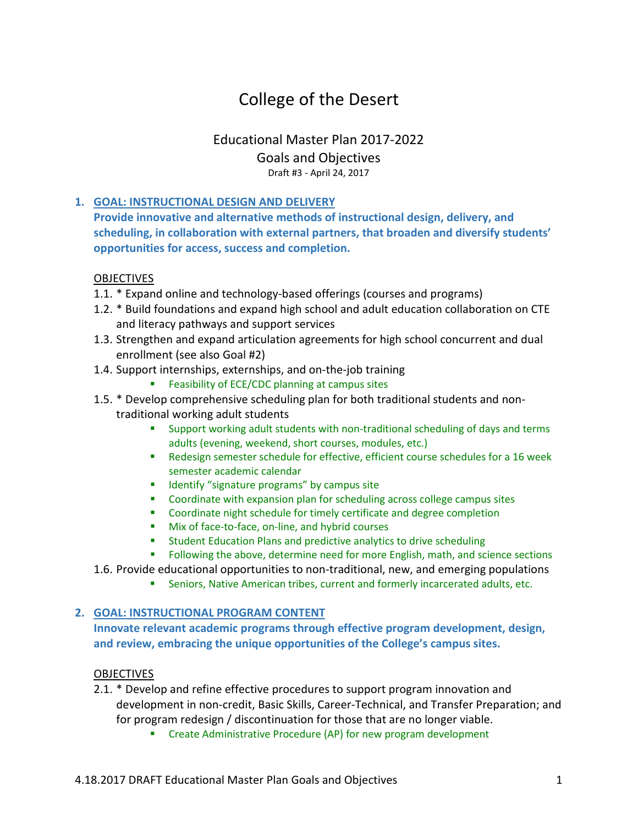# College of the Desert

# Educational Master Plan 2017-2022 Goals and Objectives Draft #3 - April 24, 2017

## **1. GOAL: INSTRUCTIONAL DESIGN AND DELIVERY**

**Provide innovative and alternative methods of instructional design, delivery, and scheduling, in collaboration with external partners, that broaden and diversify students' opportunities for access, success and completion.**

#### **OBJECTIVES**

- 1.1. \* Expand online and technology-based offerings (courses and programs)
- 1.2. \* Build foundations and expand high school and adult education collaboration on CTE and literacy pathways and support services
- 1.3. Strengthen and expand articulation agreements for high school concurrent and dual enrollment (see also Goal #2)
- 1.4. Support internships, externships, and on-the-job training
	- **Feasibility of ECE/CDC planning at campus sites**
- 1.5. \* Develop comprehensive scheduling plan for both traditional students and nontraditional working adult students
	- Support working adult students with non-traditional scheduling of days and terms adults (evening, weekend, short courses, modules, etc.)
	- Redesign semester schedule for effective, efficient course schedules for a 16 week semester academic calendar
	- **If Identify "signature programs" by campus site**
	- **•** Coordinate with expansion plan for scheduling across college campus sites
	- Coordinate night schedule for timely certificate and degree completion
	- **Mix of face-to-face, on-line, and hybrid courses**
	- **Student Education Plans and predictive analytics to drive scheduling**
	- **FILLO** Following the above, determine need for more English, math, and science sections
- 1.6. Provide educational opportunities to non-traditional, new, and emerging populations
	- Seniors, Native American tribes, current and formerly incarcerated adults, etc.

#### **2. GOAL: INSTRUCTIONAL PROGRAM CONTENT**

**Innovate relevant academic programs through effective program development, design, and review, embracing the unique opportunities of the College's campus sites.**

#### OBJECTIVES

- 2.1. \* Develop and refine effective procedures to support program innovation and development in non-credit, Basic Skills, Career-Technical, and Transfer Preparation; and for program redesign / discontinuation for those that are no longer viable.
	- **EXP** Create Administrative Procedure (AP) for new program development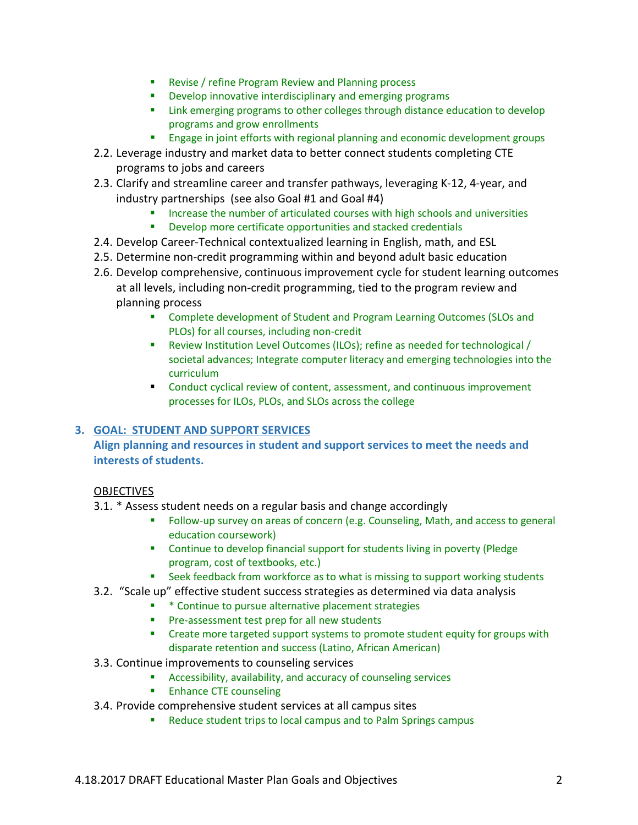- **Revise / refine Program Review and Planning process**
- **•** Develop innovative interdisciplinary and emerging programs
- **EXECT** Link emerging programs to other colleges through distance education to develop programs and grow enrollments
- **Engage in joint efforts with regional planning and economic development groups**
- 2.2. Leverage industry and market data to better connect students completing CTE programs to jobs and careers
- 2.3. Clarify and streamline career and transfer pathways, leveraging K-12, 4-year, and industry partnerships (see also Goal #1 and Goal #4)
	- Increase the number of articulated courses with high schools and universities
	- **Develop more certificate opportunities and stacked credentials**
- 2.4. Develop Career-Technical contextualized learning in English, math, and ESL
- 2.5. Determine non-credit programming within and beyond adult basic education
- 2.6. Develop comprehensive, continuous improvement cycle for student learning outcomes at all levels, including non-credit programming, tied to the program review and planning process
	- Complete development of Student and Program Learning Outcomes (SLOs and PLOs) for all courses, including non-credit
	- Review Institution Level Outcomes (ILOs); refine as needed for technological / societal advances; Integrate computer literacy and emerging technologies into the curriculum
	- Conduct cyclical review of content, assessment, and continuous improvement processes for ILOs, PLOs, and SLOs across the college

#### **3. GOAL: STUDENT AND SUPPORT SERVICES**

## **Align planning and resources in student and support services to meet the needs and interests of students.**

#### **OBJECTIVES**

- 3.1. \* Assess student needs on a regular basis and change accordingly
	- Follow-up survey on areas of concern (e.g. Counseling, Math, and access to general education coursework)
	- **EXEDENT** Continue to develop financial support for students living in poverty (Pledge program, cost of textbooks, etc.)
	- **EXECT** Seek feedback from workforce as to what is missing to support working students
- 3.2. "Scale up" effective student success strategies as determined via data analysis
	- \* \* Continue to pursue alternative placement strategies
	- **Pre-assessment test prep for all new students**
	- **•** Create more targeted support systems to promote student equity for groups with disparate retention and success (Latino, African American)
- 3.3. Continue improvements to counseling services
	- Accessibility, availability, and accuracy of counseling services
	- **Enhance CTE counseling**
- 3.4. Provide comprehensive student services at all campus sites
	- Reduce student trips to local campus and to Palm Springs campus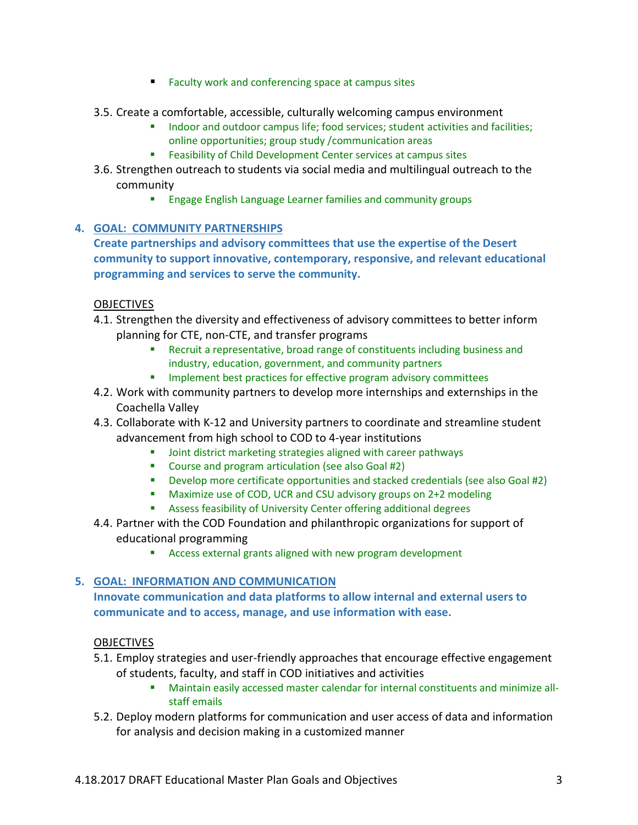- Faculty work and conferencing space at campus sites
- 3.5. Create a comfortable, accessible, culturally welcoming campus environment
	- Indoor and outdoor campus life; food services; student activities and facilities; online opportunities; group study /communication areas
	- Feasibility of Child Development Center services at campus sites
- 3.6. Strengthen outreach to students via social media and multilingual outreach to the community
	- **Engage English Language Learner families and community groups**

#### **4. GOAL: COMMUNITY PARTNERSHIPS**

**Create partnerships and advisory committees that use the expertise of the Desert community to support innovative, contemporary, responsive, and relevant educational programming and services to serve the community.** 

#### **OBJECTIVES**

- 4.1. Strengthen the diversity and effectiveness of advisory committees to better inform planning for CTE, non-CTE, and transfer programs
	- Recruit a representative, broad range of constituents including business and industry, education, government, and community partners
	- Implement best practices for effective program advisory committees
- 4.2. Work with community partners to develop more internships and externships in the Coachella Valley
- 4.3. Collaborate with K-12 and University partners to coordinate and streamline student advancement from high school to COD to 4-year institutions
	- **Joint district marketing strategies aligned with career pathways**
	- **E** Course and program articulation (see also Goal #2)
	- Develop more certificate opportunities and stacked credentials (see also Goal #2)
	- Maximize use of COD, UCR and CSU advisory groups on 2+2 modeling
	- **Assess feasibility of University Center offering additional degrees**
- 4.4. Partner with the COD Foundation and philanthropic organizations for support of educational programming
	- Access external grants aligned with new program development

## **5. GOAL: INFORMATION AND COMMUNICATION**

**Innovate communication and data platforms to allow internal and external users to communicate and to access, manage, and use information with ease.**

#### **OBJECTIVES**

- 5.1. Employ strategies and user-friendly approaches that encourage effective engagement of students, faculty, and staff in COD initiatives and activities
	- Maintain easily accessed master calendar for internal constituents and minimize allstaff emails
- 5.2. Deploy modern platforms for communication and user access of data and information for analysis and decision making in a customized manner